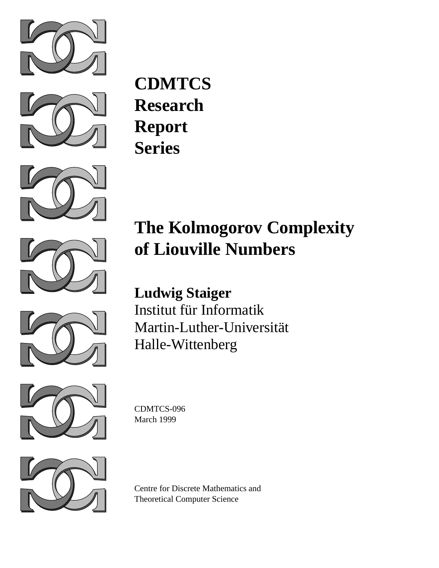



**CDMTCS Research Report Series**







# **The Kolmogorov Complexity of Liouville Numbers**

**Ludwig Staiger** Institut für Informatik Martin-Luther-Universität Halle-Wittenberg



CDMTCS-096 March 1999



Centre for Discrete Mathematics and Theoretical Computer Science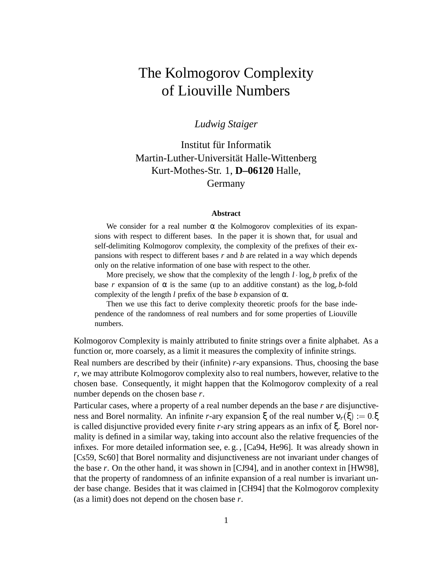# The Kolmogorov Complexity of Liouville Numbers

#### *Ludwig Staiger*

Institut für Informatik Martin-Luther-Universität Halle-Wittenberg Kurt-Mothes-Str. 1, **D–06120** Halle, Germany

#### **Abstract**

We consider for a real number  $\alpha$  the Kolmogorov complexities of its expansions with respect to different bases. In the paper it is shown that, for usual and self-delimiting Kolmogorov complexity, the complexity of the prefixes of their expansions with respect to different bases *r* and *b* are related in a way which depends only on the relative information of one base with respect to the other.

More precisely, we show that the complexity of the length  $l \cdot \log_r b$  prefix of the base *r* expansion of  $\alpha$  is the same (up to an additive constant) as the log<sub>r</sub> *b*-fold complexity of the length *l* prefix of the base *b* expansion of  $\alpha$ .

Then we use this fact to derive complexity theoretic proofs for the base independence of the randomness of real numbers and for some properties of Liouville numbers.

Kolmogorov Complexity is mainly attributed to finite strings over a finite alphabet. As a function or, more coarsely, as a limit it measures the complexity of infinite strings.

Real numbers are described by their (infinite) *r*-ary expansions. Thus, choosing the base *r*, we may attribute Kolmogorov complexity also to real numbers, however, relative to the chosen base. Consequently, it might happen that the Kolmogorov complexity of a real number depends on the chosen base *r*.

Particular cases, where a property of a real number depends an the base *r* are disjunctiveness and Borel normality. An infinite *r*-ary expansion ξ of the real number  $v_r(\xi) := 0.\xi$ is called disjunctive provided every finite *r*-ary string appears as an infix of ξ. Borel normality is defined in a similar way, taking into account also the relative frequencies of the infixes. For more detailed information see, e. g. , [Ca94, He96]. It was already shown in [Cs59, Sc60] that Borel normality and disjunctiveness are not invariant under changes of the base *r*. On the other hand, it was shown in [CJ94], and in another context in [HW98], that the property of randomness of an infinite expansion of a real number is invariant under base change. Besides that it was claimed in [CH94] that the Kolmogorov complexity (as a limit) does not depend on the chosen base *r*.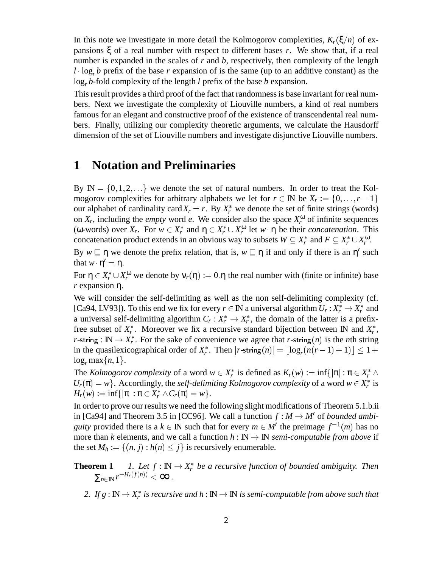In this note we investigate in more detail the Kolmogorov complexities,  $K_r(\xi/n)$  of expansions ξ of a real number with respect to different bases *r*. We show that, if a real number is expanded in the scales of *r* and *b*, respectively, then complexity of the length  $l \cdot \log_{r} b$  prefix of the base *r* expansion of is the same (up to an additive constant) as the log*<sup>r</sup> b*-fold complexity of the length *l* prefix of the base *b* expansion.

This result provides a third proof of the fact that randomness is base invariant for real numbers. Next we investigate the complexity of Liouville numbers, a kind of real numbers famous for an elegant and constructive proof of the existence of transcendental real numbers. Finally, utilizing our complexity theoretic arguments, we calculate the Hausdorff dimension of the set of Liouville numbers and investigate disjunctive Liouville numbers.

## **1 Notation and Preliminaries**

By  $\mathbb{N} = \{0, 1, 2, \ldots\}$  we denote the set of natural numbers. In order to treat the Kolmogorov complexities for arbitrary alphabets we let for  $r \in \mathbb{N}$  be  $X_r := \{0, \ldots, r-1\}$ our alphabet of cardinality card $X_r = r$ . By  $X_r^*$  we denote the set of finite strings (words) on  $X_r$ , including the *empty* word *e*. We consider also the space  $X_r^{\omega}$  of infinite sequences (ω-words) over  $X_r$ . For  $w \in X_r^*$  and  $\eta \in X_r^* \cup X_r^{\omega}$  let  $w \cdot \eta$  be their *concatenation*. This concatenation product extends in an obvious way to subsets  $W \subseteq X_r^*$  and  $F \subseteq X_r^* \cup X_r^{\omega}$ .

By  $w \sqsubseteq \eta$  we denote the prefix relation, that is,  $w \sqsubseteq \eta$  if and only if there is an  $\eta'$  such that  $w \cdot \eta' = \eta$ .

For  $\eta \in X_r^* \cup X_r^{\omega}$  we denote by  $v_r(\eta) := 0.\eta$  the real number with (finite or infinite) base *r* expansion η.

We will consider the self-delimiting as well as the non self-delimiting complexity (cf. [Ca94, LV93]). To this end we fix for every  $r \in \mathbb{N}$  a universal algorithm  $U_r : X_r^* \to X_r^*$  and a universal self-delimiting algorithm  $C_r : X_r^* \to X_r^*$ , the domain of the latter is a prefixfree subset of  $X_r^*$ . Moreover we fix a recursive standard bijection between IN and  $X_r^*$ , *r*-string :  $\mathbb{N} \to X_r^*$ . For the sake of convenience we agree that *r*-string(*n*) is the *n*th string in the quasilexicographical order of  $X_r^*$ . Then  $|r$ -string $(n)| = \lfloor \log_r(n(r-1) + 1) \rfloor \leq 1 +$  $\log_r \max\{n, 1\}.$ 

The *Kolmogorov complexity* of a word  $w \in X_r^*$  is defined as  $K_r(w) := \inf\{|\pi| : \pi \in X_r^* \wedge$  $U_r(\pi) = w$ . Accordingly, the *self-delimiting Kolmogorov complexity* of a word  $w \in X_r^*$  is  $H_r(w) := \inf \{ |\pi| : \pi \in X_r^* \wedge C_r(\pi) = w \}.$ 

In order to prove our results we need the following slight modifications of Theorem 5.1.b.ii in [Ca94] and Theorem 3.5 in [CC96]. We call a function  $f : M \to M'$  of *bounded ambiguity* provided there is a  $k \in \mathbb{N}$  such that for every  $m \in M'$  the preimage  $f^{-1}(m)$  has no more than *k* elements, and we call a function  $h : \mathbb{N} \to \mathbb{N}$  *semi-computable from above* if the set  $M_h := \{(n, j) : h(n) \leq j\}$  is recursively enumerable.

- **Theorem 1** *1. Let*  $f : \mathbb{N} \to X_r^*$  be a recursive function of bounded ambiguity. Then  $\sum_{n\in\mathbb{N}} r^{-H_r(f(n))} < \infty$ .
	- 2. If  $g: \mathbb{N} \to X_r^*$  is recursive and  $h: \mathbb{N} \to \mathbb{N}$  is semi-computable from above such that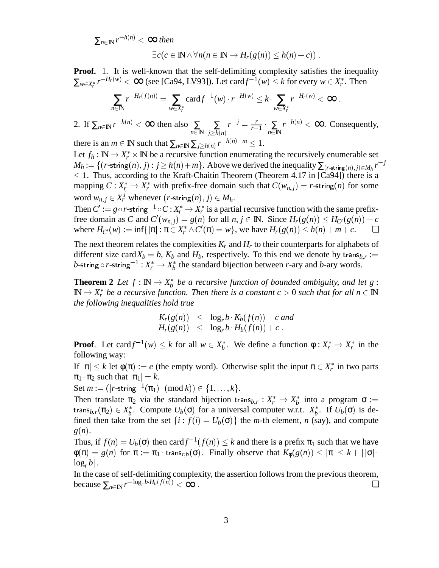$\sum_{n\in\mathbb{N}} r^{-h(n)} < \infty$  then  $\exists c (c \in \mathbb{N} \land \forall n (n \in \mathbb{N} \rightarrow H_r(\varrho(n)) \leq h(n) + c)$ .

$$
\mathcal{L}(\mathcal{C} \subseteq \mathbb{R}^{N \times 100} (N \subseteq \mathbb{R}^{N \times 121} (S(N)) \subseteq N(N) + 8))
$$

**Proof.** 1. It is well-known that the self-delimiting complexity satisfies the inequality  $\sum_{w \in X_r^*} r^{-H_r(w)} < \infty$  (see [Ca94, LV93]). Let card  $f^{-1}(w) \leq k$  for every  $w \in X_r^*$ . Then

$$
\sum_{n\in\mathbb{N}} r^{-H_r(f(n))} = \sum_{w\in X_r^*} \text{card} f^{-1}(w) \cdot r^{-H(w)} \leq k \cdot \sum_{w\in X_r^*} r^{-H_r(w)} < \infty \; .
$$

2. If  $\sum_{n \in \mathbb{N}} r^{-h(n)} < \infty$  then also  $\sum_{n \in \mathbb{N}}$ ∑  $j \geq h(n)$  $r^{-j} = \frac{r}{r-1} \cdot \sum_{n \in \mathbb{N}} r^{-h(n)} < \infty$ . Consequently,

there is an *m*  $\in \mathbb{N}$  such that  $\sum_{n \in \mathbb{N}} \sum_{j \geq h(n)} r^{-h(n)-m} \leq 1$ .

Let  $f_h : \mathbb{N} \to X_r^* \times \mathbb{N}$  be a recursive function enumerating the recursively enumerable set  $M_h := \{(r\text{-string}(n), j) : j \ge h(n) + m\}$ . Above we derived the inequality  $\sum_{(r\text{-string}(n), j) \in M_h} r^{-j}$  $1.$  Thus, according to the Kraft-Chaitin Theorem (Theorem 4.17 in [Ca94]) there is a mapping  $C: X_r^* \to X_r^*$  with prefix-free domain such that  $C(w_{n,j}) = r$ -string(*n*) for some word  $w_{n,j} \in X_r^j$  whenever  $(r\text{-string}(n), j) \in M_h$ .

Then  $C':= g\circ r$ -string<sup>-1</sup>  $\circ$   $C$  :  $X_r^*\to X_r^*$  is a partial recursive function with the same prefixfree domain as *C* and  $C'(w_{n,j}) = g(n)$  for all  $n, j \in \mathbb{N}$ . Since  $H_r(g(n)) \leq H_{C}(g(n)) + c$  $\text{where } H_{C}(w) := \inf \{ |\pi| : \pi \in X_r^* \wedge C'(\pi) = w \}, \text{ we have } H_r(g(n)) \le h(n) + m + c.$ 

The next theorem relates the complexities  $K_r$  and  $H_r$  to their counterparts for alphabets of different size card $X_b = b$ ,  $K_b$  and  $H_b$ , respectively. To this end we denote by trans $b_{b,r}$ : *b*-string  $\circ$   $r$ -string $^{-1}$  :  $X_r^* \to X_b^*$  the standard bijection between  $r$ -ary and  $b$ -ary words.

**Theorem 2** Let  $f : \mathbb{N} \to X_b^*$  be a recursive function of bounded ambiguity, and let g:  $\mathbb{N} \to X_r^*$  be a recursive function. Then there is a constant  $c > 0$  such that for all  $n \in \mathbb{N}$ *the following inequalities hold true*

$$
K_r(g(n)) \leq \log_r b \cdot K_b(f(n)) + c \text{ and}
$$
  

$$
H_r(g(n)) \leq \log_r b \cdot H_b(f(n)) + c.
$$

**Proof.** Let card  $f^{-1}(w) \leq k$  for all  $w \in X_b^*$ . We define a function  $\phi: X_r^* \to X_r^*$  in the following way:

If  $|\pi| \leq k$  let  $\phi(\pi) := e$  (the empty word). Otherwise split the input  $\pi \in X_r^*$  in two parts  $\pi_1 \cdot \pi_2$  such that  $|\pi_1| = k$ .

Set  $m := (|r\text{-string}^{-1}(\pi_1)| \pmod{k}) \in \{1,\ldots,k\}.$ 

Then translate  $\pi_2$  via the standard bijection trans $_{b,r}: X_r^* \to X_b^*$  into a program  $\sigma :=$ trans $b_{b,r}(\pi_2) \in X_b^*$ . Compute  $U_b(\sigma)$  for a universal computer w.r.t.  $X_b^*$ . If  $U_b(\sigma)$  is defined then take from the set  $\{i : f(i) = U_b(\sigma)\}$  the *m*-th element, *n* (say), and compute *g*(*n*).

Thus, if  $f(n) = U_b(\sigma)$  then card  $f^{-1}(f(n)) \leq k$  and there is a prefix  $\pi_1$  such that we have  $\phi(\pi) = g(n)$  for  $\pi := \pi_1 \cdot \text{trans}_{r,b}(\sigma)$ . Finally observe that  $K_{\phi}(g(n)) \leq |\pi| \leq k + \lceil |\sigma| \cdot$  $\log_e b$ .

In the case of self-delimiting complexity, the assertion follows from the previous theorem, because  $\sum_{n\in\mathbb{N}} r^{-\log_r b \cdot H_b(f(n))} < \infty$ .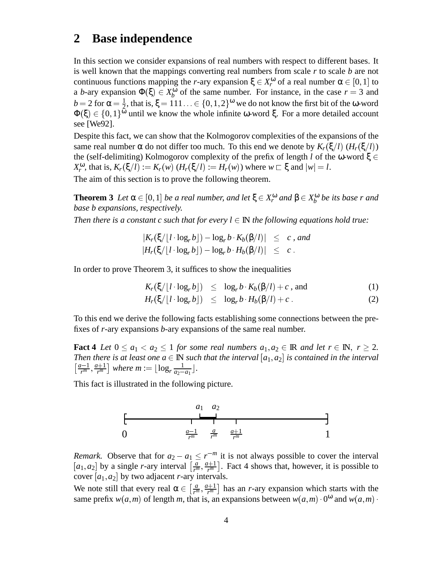# **2 Base independence**

In this section we consider expansions of real numbers with respect to different bases. It is well known that the mappings converting real numbers from scale *r* to scale *b* are not continuous functions mapping the *r*-ary expansion  $\xi \in X_r^{\omega}$  of a real number  $\alpha \in [0, 1]$  to a *b*-ary expansion  $\Phi(\xi) \in X_b^{\omega}$  of the same number. For instance, in the case  $r = 3$  and  $b = 2$  for  $\alpha = \frac{1}{2}$ , that is,  $\xi = 111... \in \{0, 1, 2\}^{\omega}$  we do not know the first bit of the  $\omega$ -word  $\Phi(\xi) \in \{0,1\}^{\omega}$  until we know the whole infinite ω-word ξ. For a more detailed account see [We92].

Despite this fact, we can show that the Kolmogorov complexities of the expansions of the same real number  $\alpha$  do not differ too much. To this end we denote by  $K_r(\xi/l)$  ( $H_r(\xi/l)$ ) the (self-delimiting) Kolmogorov complexity of the prefix of length *l* of the ω-word ξ  $\in$  $X_r^{\omega}$ , that is,  $K_r(\xi/l) := K_r(w)$   $(H_r(\xi/l) := H_r(w))$  where  $w \subset \xi$  and  $|w| = l$ .

The aim of this section is to prove the following theorem.

**Theorem 3** *Let*  $\alpha \in [0,1]$  *be a real number, and let*  $\xi \in X_r^{\omega}$  *and*  $\beta \in X_b^{\omega}$  *be its base r and base b expansions, respectively.*

*Then there is a constant c such that for every*  $l \in \mathbb{N}$  *the following equations hold true:* 

$$
|K_r(\xi/\lfloor l \cdot \log_r b \rfloor) - \log_r b \cdot K_b(\beta/l)| \leq c, \text{ and}
$$
  

$$
|H_r(\xi/\lfloor l \cdot \log_r b \rfloor) - \log_r b \cdot H_b(\beta/l)| \leq c.
$$

In order to prove Theorem 3, it suffices to show the inequalities

$$
K_r(\xi/\lfloor l\cdot \log_r b\rfloor) \leq \log_r b \cdot K_b(\beta/l) + c \text{, and} \qquad (1)
$$

$$
H_r(\xi/[l \cdot \log_r b]) \leq \log_r b \cdot H_b(\beta/l) + c \,. \tag{2}
$$

To this end we derive the following facts establishing some connections between the prefixes of *r*-ary expansions *b*-ary expansions of the same real number.

**Fact 4** *Let*  $0 \le a_1 < a_2 \le 1$  *for some real numbers*  $a_1, a_2 \in \mathbb{R}$  *and let*  $r \in \mathbb{N}$ ,  $r \ge 2$ . *Then there is at least one*  $a \in \mathbb{N}$  *such that the interval*  $[a_1, a_2]$  *is contained in the interval*  $\left[\frac{a-1}{r^m}, \frac{a+1}{r^m}\right]$  where  $m := \lfloor \log_r \frac{1}{a_2-a_1} \rfloor$ .

This fact is illustrated in the following picture.



*Remark.* Observe that for  $a_2 - a_1 \leq r^{-m}$  it is not always possible to cover the interval  $[a_1, a_2]$  by a single *r*-ary interval  $\left[\frac{a}{r^m}, \frac{a+1}{r^m}\right]$ . Fact 4 shows that, however, it is possible to cover  $[a_1, a_2]$  by two adjacent *r*-ary intervals.

We note still that every real  $\alpha \in \left[\frac{a}{r^m}, \frac{a+1}{r^m}\right]$  has an *r*-ary expansion which starts with the same prefix  $w(a, m)$  of length *m*, that is, an expansions between  $w(a, m) \cdot 0^{\omega}$  and  $w(a, m) \cdot$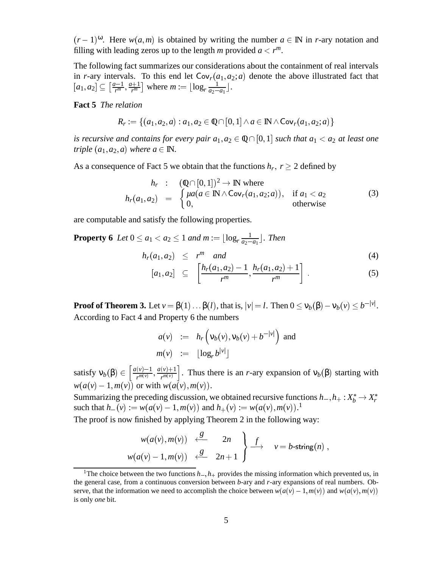$(r-1)^{\omega}$ . Here  $w(a,m)$  is obtained by writing the number  $a \in \mathbb{N}$  in *r*-ary notation and filling with leading zeros up to the length *m* provided  $a < r^m$ .

The following fact summarizes our considerations about the containment of real intervals in *r*-ary intervals. To this end let  $Cov<sub>r</sub>(a<sub>1</sub>, a<sub>2</sub>; a)$  denote the above illustrated fact that  $[a_1, a_2] \subseteq \left[\frac{a-1}{r^m}, \frac{a+1}{r^m}\right]$  where  $m := \lfloor \log_r \frac{1}{a_2 - a_1} \rfloor$ .

**Fact 5** *The relation*

$$
R_r := \{(a_1, a_2, a) : a_1, a_2 \in \mathbb{Q} \cap [0, 1] \land a \in \mathbb{N} \land \mathsf{Cov}_r(a_1, a_2; a)\}
$$

*is recursive and contains for every pair*  $a_1, a_2 \in \mathbb{Q} \cap [0, 1]$  *such that*  $a_1 < a_2$  *at least one triple*  $(a_1, a_2, a)$  *where*  $a \in \mathbb{N}$ .

As a consequence of Fact 5 we obtain that the functions  $h_r$ ,  $r \geq 2$  defined by

$$
h_r : (\mathbb{Q} \cap [0,1])^2 \to \mathbb{N} \text{ where}
$$
  
\n
$$
h_r(a_1, a_2) = \begin{cases} \mu a(a \in \mathbb{N} \wedge \text{Cov}_r(a_1, a_2; a)), & \text{if } a_1 < a_2 \\ 0, & \text{otherwise} \end{cases}
$$
 (3)

are computable and satisfy the following properties.

**Property 6** *Let*  $0 \le a_1 < a_2 \le 1$  *and m* :=  $\lfloor \log_r \frac{1}{a_2 - a_1} \rfloor$ *. Then* 

$$
h_r(a_1, a_2) \leq r^m \quad \text{and} \tag{4}
$$
\n
$$
[a_r, a_r] \in [h_r(a_1, a_2) - 1 \quad h_r(a_1, a_2) + 1] \tag{5}
$$

$$
[a_1, a_2] \subseteq \left[\frac{h_r(a_1, a_2) - 1}{r^m}, \frac{h_r(a_1, a_2) + 1}{r^m}\right]. \tag{5}
$$

**Proof of Theorem 3.** Let  $v = \beta(1) \dots \beta(l)$ , that is,  $|v| = l$ . Then  $0 \le v_b(\beta) - v_b(v) \le b^{-|v|}$ . According to Fact 4 and Property 6 the numbers

$$
a(v) := h_r(v_b(v), v_b(v) + b^{-|v|}) \text{ and}
$$
  

$$
m(v) := \lfloor \log_r b^{|v|} \rfloor
$$

satisfy  $v_b(\beta) \in \left[\frac{a(v)-1}{r^{m(v)}}, \frac{a(v)}{r^m}\right]$  $r^{m(v)}$  ;  $r^{m(v)}$  $\frac{a(v)+1}{r^{m(v)}}\right]$ . Thus there is an *r*-ary expansion of  $v_b(\beta)$  starting with  $w(a(v) - 1, m(v))$  or with  $w(a(v), m(v))$ .

Summarizing the preceding discussion, we obtained recursive functions  $h_-, h_+ : X_b^* \to X_r^*$ such that  $h_{-}(v) := w(a(v) - 1, m(v))$  and  $h_{+}(v) := w(a(v), m(v))$ .<sup>1</sup>

The proof is now finished by applying Theorem 2 in the following way:

$$
\begin{array}{ccc}\nw(a(v),m(v)) & \xleftarrow{g} & 2n \\
w(a(v)-1,m(v)) & \xleftarrow{g} & 2n+1\n\end{array}\n\begin{array}{ccc}\n\end{array}\n\right\}\n\stackrel{f}{\longrightarrow} v = b\text{-string}(n) ,
$$

<sup>&</sup>lt;sup>1</sup>The choice between the two functions  $h_-, h_+$  provides the missing information which prevented us, in the general case, from a continuous conversion between *b*-ary and *r*-ary expansions of real numbers. Observe, that the information we need to accomplish the choice between  $w(a(v) - 1, m(v))$  and  $w(a(v), m(v))$ is only *one* bit.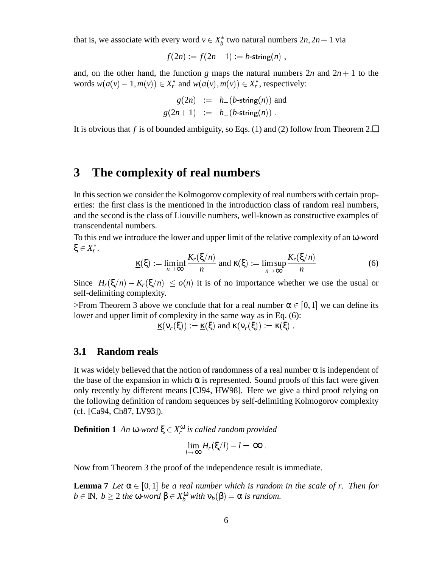that is, we associate with every word  $v \in X_b^*$  two natural numbers  $2n, 2n + 1$  via

$$
f(2n) := f(2n+1) := b\text{-string}(n) ,
$$

and, on the other hand, the function *g* maps the natural numbers  $2n$  and  $2n + 1$  to the words  $w(a(v) - 1, m(v)) \in X_r^*$  and  $w(a(v), m(v)) \in X_r^*$ , respectively:

$$
g(2n) := h_{-}(b\text{-string}(n)) \text{ and}
$$
  

$$
g(2n+1) := h_{+}(b\text{-string}(n)).
$$

It is obvious that *f* is of bounded ambiguity, so Eqs. (1) and (2) follow from Theorem 2. $\Box$ 

### **3 The complexity of real numbers**

In this section we consider the Kolmogorov complexity of real numbers with certain properties: the first class is the mentioned in the introduction class of random real numbers, and the second is the class of Liouville numbers, well-known as constructive examples of transcendental numbers.

To this end we introduce the lower and upper limit of the relative complexity of an ω-word  $\xi \in X_r^*.$ 

$$
\underline{\kappa}(\xi) := \liminf_{n \to \infty} \frac{K_r(\xi/n)}{n} \text{ and } \kappa(\xi) := \limsup_{n \to \infty} \frac{K_r(\xi/n)}{n} \tag{6}
$$

Since  $|H_r(\xi/n) - K_r(\xi/n)| \le o(n)$  it is of no importance whether we use the usual or self-delimiting complexity.

>From Theorem 3 above we conclude that for a real number  $\alpha \in [0, 1]$  we can define its lower and upper limit of complexity in the same way as in Eq. (6):

 $\underline{\kappa}(\nu_r(\xi)) := \underline{\kappa}(\xi)$  and  $\kappa(\nu_r(\xi)) := \kappa(\xi)$ .

#### **3.1 Random reals**

It was widely believed that the notion of randomness of a real number  $\alpha$  is independent of the base of the expansion in which  $\alpha$  is represented. Sound proofs of this fact were given only recently by different means [CJ94, HW98]. Here we give a third proof relying on the following definition of random sequences by self-delimiting Kolmogorov complexity (cf. [Ca94, Ch87, LV93]).

**Definition 1** An  $\omega$ -word  $\xi \in X_r^{\omega}$  is called random provided

$$
\lim_{l\to\infty}H_r(\xi/l)-l=\infty.
$$

Now from Theorem 3 the proof of the independence result is immediate.

**Lemma 7** *Let*  $\alpha \in [0, 1]$  *be a real number which is random in the scale of r. Then for*  $b \in \mathbb{N}, b \ge 2$  *the*  $\omega$ *-word*  $\beta \in X_b^{\omega}$  *with*  $v_b(\beta) = \alpha$  *is random.*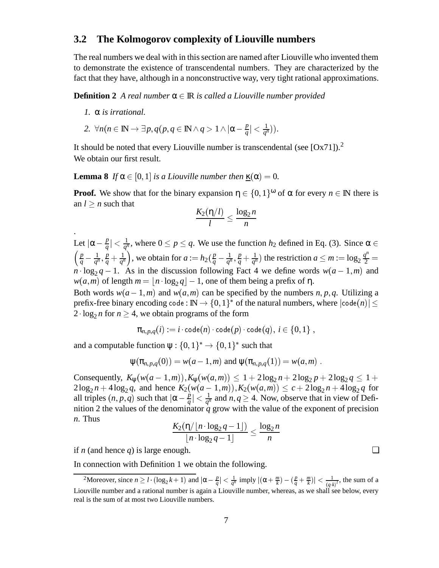#### **3.2 The Kolmogorov complexity of Liouville numbers**

The real numbers we deal with in this section are named after Liouville who invented them to demonstrate the existence of transcendental numbers. They are characterized by the fact that they have, although in a nonconstructive way, very tight rational approximations.

**Definition 2** *A real number*  $\alpha \in \mathbb{R}$  *is called a Liouville number provided* 

*1.* α *is irrational.*

2. 
$$
\forall n (n \in \mathbb{N} \rightarrow \exists p, q (p, q \in \mathbb{N} \land q > 1 \land |\alpha - \frac{p}{q}| < \frac{1}{q^n})).
$$

It should be noted that every Liouville number is transcendental (see  $[Ox71]$ ).<sup>2</sup> We obtain our first result.

**Lemma 8** *If*  $\alpha \in [0, 1]$  *is a Liouville number then*  $\kappa(\alpha) = 0$ *.* 

**Proof.** We show that for the binary expansion  $\eta \in \{0, 1\}^{\omega}$  of  $\alpha$  for every  $n \in \mathbb{N}$  there is an  $l \geq n$  such that

$$
\frac{K_2(\eta/l)}{l} \le \frac{\log_2 n}{n}
$$

Let  $|\alpha - \frac{p}{q}| < \frac{1}{q^n}$ , where  $0 \le p \le q$ . We use the function  $h_2$  defined in Eq. (3). Since  $\alpha \in$  $\left(\frac{p}{q}-\frac{1}{q^n},\frac{p}{q}+\frac{1}{q^n}\right)$ , w  $\left(\frac{p}{q} + \frac{1}{q^n}\right)$ , we obtain for  $a := h_2(\frac{p}{q} - \frac{1}{q^n}, \frac{p}{q} + \frac{1}{q^n})$  the  $\frac{p}{q} + \frac{1}{q^n}$  the restriction  $a \le m := \log_2 \frac{q^n}{2} =$  $\overline{2}$  =  $n \cdot \log_2 q - 1$ . As in the discussion following Fact 4 we define words  $w(a-1,m)$  and  $w(a,m)$  of length  $m = |n \cdot \log_2 q| - 1$ , one of them being a prefix of  $\eta$ .

Both words  $w(a-1,m)$  and  $w(a,m)$  can be specified by the numbers *n*, *p*, *q*. Utilizing a prefix-free binary encoding code :  $\text{I\!N}\rightarrow\{0,1\}^*$  of the natural numbers, where  $|\textsf{code}(n)|$   $\leq$ 2  $\log_2 n$  for  $n \geq 4$ , we obtain programs of the form

$$
\pi_{n,p,q}(i):=i\cdot \text{\rm code}(n)\cdot \text{\rm code}(p)\cdot \text{\rm code}(q),\ i\in\{0,1\}\ ,
$$

and a computable function  $\psi: \{0,1\}^* \to \{0,1\}^*$  such that

 $\Psi(\pi_{n,p,q}(0)) = w(a-1,m)$  and  $\Psi(\pi_{n,p,q}(1)) = w(a,m)$ .

Consequently,  $K_w(w(a-1,m)), K_w(w(a,m)) \leq 1 + 2\log_2 n + 2\log_2 p + 2\log_2 q \leq 1 +$  $2\log_2 n + 4\log_2 q$ , and hence  $K_2(w(a-1,m)), K_2(w(a,m)) \le c + 2\log_2 n + 4\log_2 q$  for all triples  $(n, p, q)$  such that  $|\alpha - \frac{p}{q}| < \frac{1}{q^n}$  and  $n, q \ge 4$ . Now, observe that in view of Definition 2 the values of the denominator  $q$  grow with the value of the exponent of precision *n*. Thus

$$
\frac{K_2(\eta/\lfloor n\cdot \log_2 q -1\rfloor)}{\lfloor n\cdot \log_2 q -1\rfloor} \leq \frac{\log_2 n}{n}
$$

if *n* (and hence *q*) is large enough.  $\Box$ 

In connection with Definition 1 we obtain the following.

<sup>&</sup>lt;sup>2</sup>Moreover, since  $n \ge l \cdot (\log_2 k + 1)$  and  $|\alpha - \frac{p}{q}| < \frac{1}{q^n}$  imply  $|(\alpha + \frac{m}{k}) - (\frac{p}{q} + \frac{m}{k})| < \frac{1}{(q \cdot k)^l}$ , the sum of a Liouville number and a rational number is again a Liouville number, whereas, as we shall see below, every real is the sum of at most two Liouville numbers.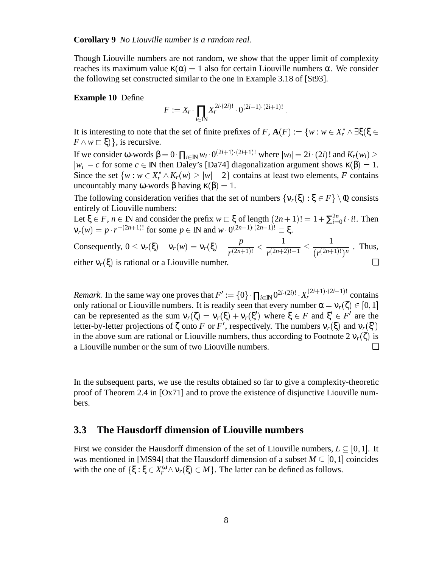**Corollary 9** *No Liouville number is a random real.*

Though Liouville numbers are not random, we show that the upper limit of complexity reaches its maximum value  $κ(α) = 1$  also for certain Liouville numbers α. We consider the following set constructed similar to the one in Example 3.18 of [St93].

#### **Example 10** Define

$$
F := X_r \cdot \prod_{i \in \mathbb{N}} X_r^{2i \cdot (2i)!} \cdot 0^{(2i+1) \cdot (2i+1)!}.
$$

It is interesting to note that the set of finite prefixes of *F*,  $\mathbf{A}(F) := \{w : w \in X_r^* \wedge \exists \xi (\xi \in$  $F \wedge w \sqsubset \xi$ ), is recursive.

If we consider ω-words  $β = 0$   $\prod_{i \in \mathbb{N}} w_i \cdot 0^{(2i+1)(2i+1)!}$  where  $|w_i| = 2i \cdot (2i)!$  and  $K_r(w_i) \ge$  $|w_i| - c$  for some  $c \in \mathbb{N}$  then Daley's [Da74] diagonalization argument shows  $\kappa(\beta) = 1$ . Since the set  $\{w : w \in X_r^* \wedge K_r(w) \ge |w| - 2\}$  contains at least two elements, *F* contains uncountably many ω-words β having  $\kappa(\beta) = 1$ .

The following consideration verifies that the set of numbers  $\{v_r(\xi): \xi \in F\} \setminus \mathbb{Q}$  consists entirely of Liouville numbers:

Let  $\xi \in F$ ,  $n \in \mathbb{N}$  and consider the prefix  $w \sqsubset \xi$  of length  $(2n+1)! = 1 + \sum_{i=0}^{2n} i \cdot i!$ . Then  $ν<sub>r</sub>(w) = p \cdot r^{-(2n+1)!}$  for some  $p ∈ \mathbb{N}$  and  $w \cdot 0^{(2n+1) \cdot (2n+1)!} ⊂ ξ$ .

Consequently, 
$$
0 \le v_r(\xi) - v_r(w) = v_r(\xi) - \frac{p}{r^{(2n+1)!}} < \frac{1}{r^{(2n+2)!-1}} \le \frac{1}{(r^{(2n+1)!})^n}
$$
. Thus, either  $v_r(\xi)$  is rational or a Liouville number.

*Remark.* In the same way one proves that  $F' := \{0\} \cdot \prod_{i \in \mathbb{N}} 0^{2i \cdot (2i)!} \cdot X_r^{(2i+1) \cdot (2i+1)!}$  contains only rational or Liouville numbers. It is readily seen that every number  $\alpha = v_r(\zeta) \in [0, 1]$ can be represented as the sum  $v_r(\zeta) = v_r(\xi) + v_r(\xi')$  where  $\xi \in F$  and  $\xi' \in F'$  are the letter-by-letter projections of  $\zeta$  onto *F* or *F'*, respectively. The numbers  $v_r(\xi)$  and  $v_r(\xi')$ in the above sum are rational or Liouville numbers, thus according to Footnote 2  $v_r(\zeta)$  is a Liouville number or the sum of two Liouville numbers. ❏

In the subsequent parts, we use the results obtained so far to give a complexity-theoretic proof of Theorem 2.4 in [Ox71] and to prove the existence of disjunctive Liouville numbers.

#### **3.3 The Hausdorff dimension of Liouville numbers**

First we consider the Hausdorff dimension of the set of Liouville numbers,  $L \subseteq [0,1]$ . It was mentioned in [MS94] that the Hausdorff dimension of a subset  $M \subseteq [0, 1]$  coincides with the one of  $\{\xi : \xi \in X_r^{\omega} \wedge v_r(\xi) \in M\}$ . The latter can be defined as follows.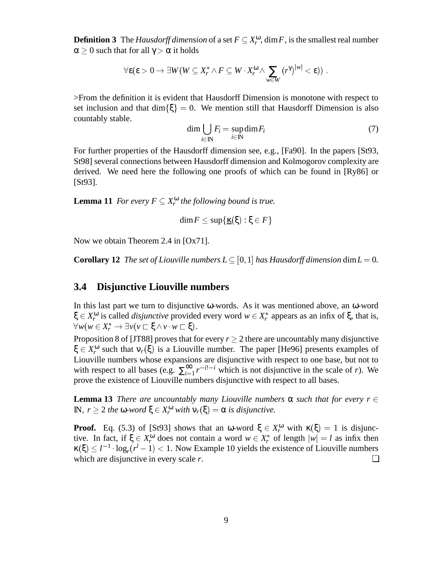**Definition 3** The *Hausdorff dimension* of a set  $F \subseteq X_r^{\omega}$ , dim *F*, is the smallest real number  $\alpha \geq 0$  such that for all  $\gamma > \alpha$  it holds

$$
\forall \boldsymbol{\epsilon} (\boldsymbol{\epsilon} > 0 \rightarrow \exists W (W \subseteq X^*_r \wedge F \subseteq W \cdot X^{\boldsymbol{\omega}}_r \wedge \sum_{w \in W} \left( r^{\gamma} \right)^{|w|} < \boldsymbol{\epsilon}) ) \ .
$$

>From the definition it is evident that Hausdorff Dimension is monotone with respect to set inclusion and that dim $\{\xi\} = 0$ . We mention still that Hausdorff Dimension is also countably stable.

$$
\dim \bigcup_{i \in \mathbb{N}} F_i = \sup_{i \in \mathbb{N}} \dim F_i \tag{7}
$$

For further properties of the Hausdorff dimension see, e.g., [Fa90]. In the papers [St93, St98] several connections between Hausdorff dimension and Kolmogorov complexity are derived. We need here the following one proofs of which can be found in [Ry86] or [St93].

**Lemma 11** *For every*  $F \subseteq X_r^{\omega}$  *the following bound is true.* 

$$
\dim F \leq \sup \{\underline{\kappa}(\xi): \xi \in F\}
$$

Now we obtain Theorem 2.4 in [Ox71].

**Corollary 12** *The set of Liouville numbers*  $L \subseteq [0,1]$  *has Hausdorff dimension* dim $L = 0$ *.* 

#### **3.4 Disjunctive Liouville numbers**

In this last part we turn to disjunctive  $\omega$ -words. As it was mentioned above, an  $\omega$ -word  $\xi \in X_r^{\omega}$  is called *disjunctive* provided every word  $w \in X_r^*$  appears as an infix of  $\xi$ , that is,  $\forall w (w \in X_r^* \to \exists \nu (v \sqsubset \xi \wedge v \cdot w \sqsubset \xi).$ 

Proposition 8 of [JT88] proves that for every  $r > 2$  there are uncountably many disjunctive  $\xi \in X_r^{\omega}$  such that  $v_r(\xi)$  is a Liouville number. The paper [He96] presents examples of Liouville numbers whose expansions are disjunctive with respect to one base, but not to with respect to all bases (e.g.  $\sum_{i=1}^{\infty} r^{-i!-i}$  which is not disjunctive in the scale of *r*). We prove the existence of Liouville numbers disjunctive with respect to all bases.

**Lemma 13** *There are uncountably many Liouville numbers*  $\alpha$  *such that for every r*  $\in$ **,**  $r ≥ 2$ *the* **ω***-word* **ξ ∈**  $X_r^ω$ *with* $v_r(ξ) = α$ *is disjunctive.* 

**Proof.** Eq. (5.3) of [St93] shows that an  $\omega$ -word  $\xi \in X_r^{\omega}$  with  $\kappa(\xi) = 1$  is disjunctive. In fact, if  $\xi \in X_r^{\omega}$  does not contain a word  $w \in X_r^*$  of length  $|w| = l$  as infix then  $\kappa(\xi) \leq l^{-1} \cdot \log_r(r^l-1) < 1$ . Now Example 10 yields the existence of Liouville numbers which are disjunctive in every scale  $r$ .  $\Box$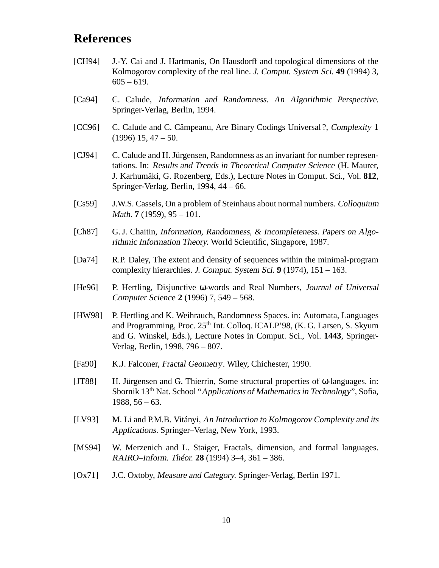# **References**

- [CH94] J.-Y. Cai and J. Hartmanis, On Hausdorff and topological dimensions of the Kolmogorov complexity of the real line. J. Comput. System Sci. **49** (1994) 3,  $605 - 619.$
- [Ca94] C. Calude, *Information and Randomness. An Algorithmic Perspective.* Springer-Verlag, Berlin, 1994.
- [CC96] C. Calude and C. Câmpeanu, Are Binary Codings Universal ?, Complexity **1**  $(1996)$  15, 47 – 50.
- [CJ94] C. Calude and H. Jürgensen, Randomness as an invariant for number representations. In: Results and Trends in Theoretical Computer Science (H. Maurer, J. Karhumäki, G. Rozenberg, Eds.), Lecture Notes in Comput. Sci., Vol. **812**, Springer-Verlag, Berlin, 1994, 44 – 66.
- [Cs59] J.W.S. Cassels, On a problem of Steinhaus about normal numbers. Colloquium Math. **7** (1959), 95 – 101.
- [Ch87] G. J. Chaitin, Information, Randomness, & Incompleteness. Papers on Algorithmic Information Theory. World Scientific, Singapore, 1987.
- [Da74] R.P. Daley, The extent and density of sequences within the minimal-program complexity hierarchies. J. Comput. System Sci. **9** (1974), 151 – 163.
- [He96] P. Hertling, Disjunctive ω-words and Real Numbers, Journal of Universal Computer Science **2** (1996) 7, 549 – 568.
- [HW98] P. Hertling and K. Weihrauch, Randomness Spaces. in: Automata, Languages and Programming, Proc. 25<sup>th</sup> Int. Colloq. ICALP'98, (K. G. Larsen, S. Skyum and G. Winskel, Eds.), Lecture Notes in Comput. Sci., Vol. **1443**, Springer-Verlag, Berlin, 1998, 796 – 807.
- [Fa90] K.J. Falconer, *Fractal Geometry*. Wiley, Chichester, 1990.
- [JT88] H. Jürgensen and G. Thierrin, Some structural properties of ω-languages. in: Sbornik 13th Nat. School "Applications of Mathematics in Technology", Sofia, 1988, 56 – 63.
- [LV93] M. Li and P.M.B. Vitányi, An Introduction to Kolmogorov Complexity and its Applications. Springer–Verlag, New York, 1993.
- [MS94] W. Merzenich and L. Staiger, Fractals, dimension, and formal languages. RAIRO–Inform. Théor. **28** (1994) 3–4, 361 – 386.
- [Ox71] J.C. Oxtoby, Measure and Category. Springer-Verlag, Berlin 1971.